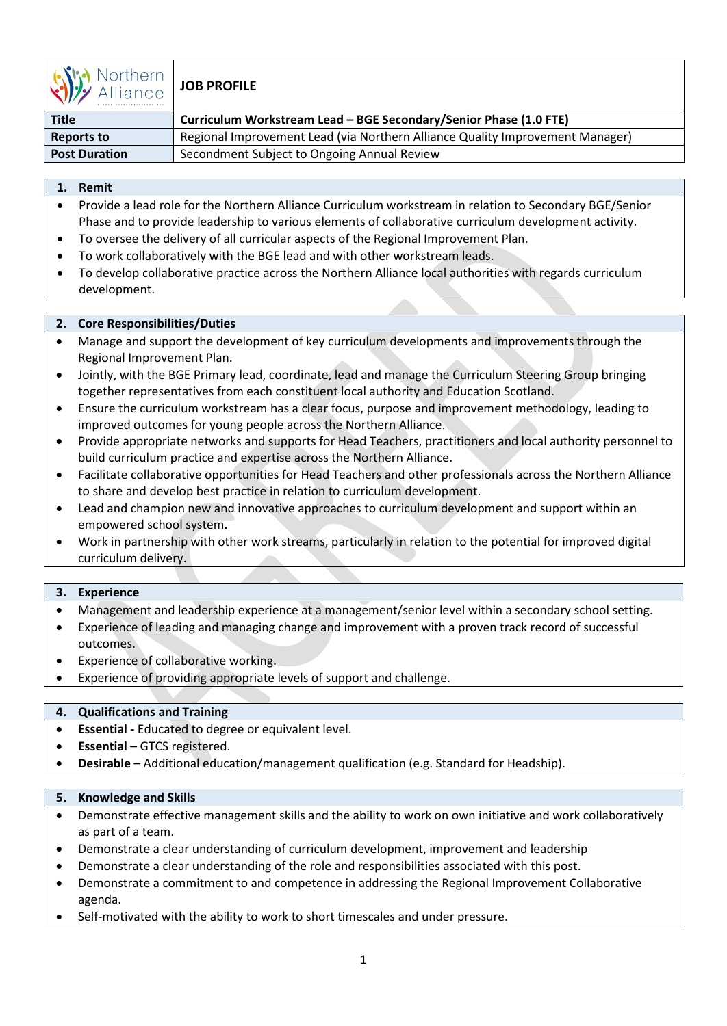

# **JOB PROFILE**

| <b>Title</b>         | Curriculum Workstream Lead - BGE Secondary/Senior Phase (1.0 FTE)             |
|----------------------|-------------------------------------------------------------------------------|
| <b>Reports to</b>    | Regional Improvement Lead (via Northern Alliance Quality Improvement Manager) |
| <b>Post Duration</b> | Secondment Subject to Ongoing Annual Review                                   |

# **1. Remit**

- Provide a lead role for the Northern Alliance Curriculum workstream in relation to Secondary BGE/Senior Phase and to provide leadership to various elements of collaborative curriculum development activity.
- To oversee the delivery of all curricular aspects of the Regional Improvement Plan.
- To work collaboratively with the BGE lead and with other workstream leads.
- To develop collaborative practice across the Northern Alliance local authorities with regards curriculum development.

# **2. Core Responsibilities/Duties**

- Manage and support the development of key curriculum developments and improvements through the Regional Improvement Plan.
- Jointly, with the BGE Primary lead, coordinate, lead and manage the Curriculum Steering Group bringing together representatives from each constituent local authority and Education Scotland.
- Ensure the curriculum workstream has a clear focus, purpose and improvement methodology, leading to improved outcomes for young people across the Northern Alliance.
- Provide appropriate networks and supports for Head Teachers, practitioners and local authority personnel to build curriculum practice and expertise across the Northern Alliance.
- Facilitate collaborative opportunities for Head Teachers and other professionals across the Northern Alliance to share and develop best practice in relation to curriculum development.
- Lead and champion new and innovative approaches to curriculum development and support within an empowered school system.
- Work in partnership with other work streams, particularly in relation to the potential for improved digital curriculum delivery.

#### **3. Experience**

- Management and leadership experience at a management/senior level within a secondary school setting.
- Experience of leading and managing change and improvement with a proven track record of successful outcomes.
- Experience of collaborative working.
- Experience of providing appropriate levels of support and challenge.

# **4. Qualifications and Training**

- **Essential** Educated to degree or equivalent level.
- **Essential** GTCS registered.
- **Desirable** Additional education/management qualification (e.g. Standard for Headship).

#### **5. Knowledge and Skills**

- Demonstrate effective management skills and the ability to work on own initiative and work collaboratively as part of a team.
- Demonstrate a clear understanding of curriculum development, improvement and leadership
- Demonstrate a clear understanding of the role and responsibilities associated with this post.
- Demonstrate a commitment to and competence in addressing the Regional Improvement Collaborative agenda.
- Self-motivated with the ability to work to short timescales and under pressure.